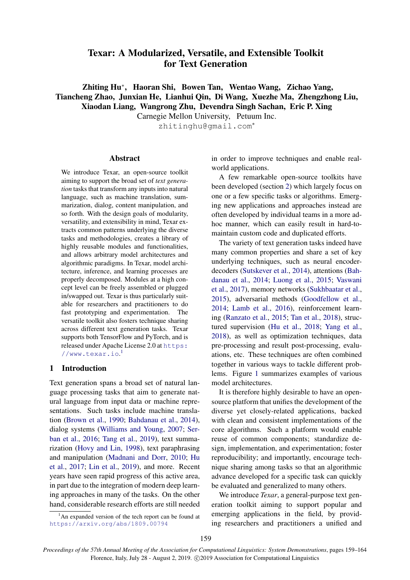# Texar: A Modularized, Versatile, and Extensible Toolkit for Text Generation

Zhiting Hu<sup>∗</sup> , Haoran Shi, Bowen Tan, Wentao Wang, Zichao Yang, Tiancheng Zhao, Junxian He, Lianhui Qin, Di Wang, Xuezhe Ma, Zhengzhong Liu, Xiaodan Liang, Wangrong Zhu, Devendra Singh Sachan, Eric P. Xing

Carnegie Mellon University, Petuum Inc.

zhitinghu@gmail.com<sup>∗</sup>

#### Abstract

We introduce Texar, an open-source toolkit aiming to support the broad set of *text generation* tasks that transform any inputs into natural language, such as machine translation, summarization, dialog, content manipulation, and so forth. With the design goals of modularity, versatility, and extensibility in mind, Texar extracts common patterns underlying the diverse tasks and methodologies, creates a library of highly reusable modules and functionalities, and allows arbitrary model architectures and algorithmic paradigms. In Texar, model architecture, inference, and learning processes are properly decomposed. Modules at a high concept level can be freely assembled or plugged in/swapped out. Texar is thus particularly suitable for researchers and practitioners to do fast prototyping and experimentation. The versatile toolkit also fosters technique sharing across different text generation tasks. Texar supports both TensorFlow and PyTorch, and is released under Apache License 2.0 at [https:](https://www.texar.io) [//www.texar.io](https://www.texar.io).[1](#page-0-0)

# 1 Introduction

Text generation spans a broad set of natural language processing tasks that aim to generate natural language from input data or machine representations. Such tasks include machine translation [\(Brown et al.,](#page-4-0) [1990;](#page-4-0) [Bahdanau et al.,](#page-4-1) [2014\)](#page-4-1), dialog systems [\(Williams and Young,](#page-5-0) [2007;](#page-5-0) [Ser](#page-5-1)[ban et al.,](#page-5-1) [2016;](#page-5-1) [Tang et al.,](#page-5-2) [2019\)](#page-5-2), text summarization [\(Hovy and Lin,](#page-5-3) [1998\)](#page-5-3), text paraphrasing and manipulation [\(Madnani and Dorr,](#page-5-4) [2010;](#page-5-4) [Hu](#page-5-5) [et al.,](#page-5-5) [2017;](#page-5-5) [Lin et al.,](#page-5-6) [2019\)](#page-5-6), and more. Recent years have seen rapid progress of this active area, in part due to the integration of modern deep learning approaches in many of the tasks. On the other hand, considerable research efforts are still needed

<span id="page-0-0"></span> $1<sup>1</sup>$ An expanded version of the tech report can be found at <https://arxiv.org/abs/1809.00794>

in order to improve techniques and enable realworld applications.

A few remarkable open-source toolkits have been developed (section [2\)](#page-1-0) which largely focus on one or a few specific tasks or algorithms. Emerging new applications and approaches instead are often developed by individual teams in a more adhoc manner, which can easily result in hard-tomaintain custom code and duplicated efforts.

The variety of text generation tasks indeed have many common properties and share a set of key underlying techniques, such as neural encoderdecoders [\(Sutskever et al.,](#page-5-7) [2014\)](#page-5-7), attentions [\(Bah](#page-4-1)[danau et al.,](#page-4-1) [2014;](#page-4-1) [Luong et al.,](#page-5-8) [2015;](#page-5-8) [Vaswani](#page-5-9) [et al.,](#page-5-9) [2017\)](#page-5-9), memory networks [\(Sukhbaatar et al.,](#page-5-10) [2015\)](#page-5-10), adversarial methods [\(Goodfellow et al.,](#page-4-2) [2014;](#page-4-2) [Lamb et al.,](#page-5-11) [2016\)](#page-5-11), reinforcement learning [\(Ranzato et al.,](#page-5-12) [2015;](#page-5-12) [Tan et al.,](#page-5-13) [2018\)](#page-5-13), structured supervision [\(Hu et al.,](#page-5-14) [2018;](#page-5-14) [Yang et al.,](#page-5-15) [2018\)](#page-5-15), as well as optimization techniques, data pre-processing and result post-processing, evaluations, etc. These techniques are often combined together in various ways to tackle different problems. Figure [1](#page-1-1) summarizes examples of various model architectures.

It is therefore highly desirable to have an opensource platform that unifies the development of the diverse yet closely-related applications, backed with clean and consistent implementations of the core algorithms. Such a platform would enable reuse of common components; standardize design, implementation, and experimentation; foster reproducibility; and importantly, encourage technique sharing among tasks so that an algorithmic advance developed for a specific task can quickly be evaluated and generalized to many others.

We introduce *Texar*, a general-purpose text generation toolkit aiming to support popular and emerging applications in the field, by providing researchers and practitioners a unified and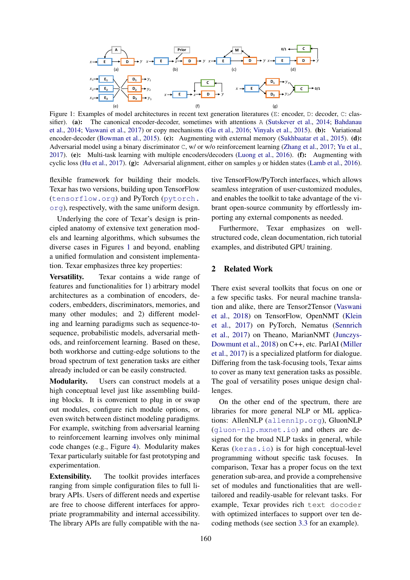<span id="page-1-1"></span>

Figure 1: Examples of model architectures in recent text generation literatures (E: encoder, D: decoder, C: clas-sifier). (a): The canonical encoder-decoder, sometimes with attentions A [\(Sutskever et al.,](#page-5-7) [2014;](#page-5-7) [Bahdanau](#page-4-1) [et al.,](#page-4-1) [2014;](#page-4-1) [Vaswani et al.,](#page-5-9) [2017\)](#page-5-9) or copy mechanisms [\(Gu et al.,](#page-4-3) [2016;](#page-4-3) [Vinyals et al.,](#page-5-16) [2015\)](#page-5-16). (b): Variational encoder-decoder [\(Bowman et al.,](#page-4-4) [2015\)](#page-5-10). (c): Augmenting with external memory [\(Sukhbaatar et al.,](#page-5-10) 2015). (d): Adversarial model using a binary discriminator C, w/ or w/o reinforcement learning [\(Zhang et al.,](#page-5-17) [2017;](#page-5-17) [Yu et al.,](#page-5-18) [2017\)](#page-5-18). (e): Multi-task learning with multiple encoders/decoders [\(Luong et al.,](#page-5-19) [2016\)](#page-5-19). (f): Augmenting with cyclic loss [\(Hu et al.,](#page-5-5) [2017\)](#page-5-5). (g): Adversarial alignment, either on samples y or hidden states [\(Lamb et al.,](#page-5-11) [2016\)](#page-5-11).

flexible framework for building their models. Texar has two versions, building upon TensorFlow (<tensorflow.org>) and PyTorch ([pytorch.](pytorch.org) [org](pytorch.org)), respectively, with the same uniform design.

Underlying the core of Texar's design is principled anatomy of extensive text generation models and learning algorithms, which subsumes the diverse cases in Figures [1](#page-1-1) and beyond, enabling a unified formulation and consistent implementation. Texar emphasizes three key properties:

Versatility. Texar contains a wide range of features and functionalities for 1) arbitrary model architectures as a combination of encoders, decoders, embedders, discriminators, memories, and many other modules; and 2) different modeling and learning paradigms such as sequence-tosequence, probabilistic models, adversarial methods, and reinforcement learning. Based on these, both workhorse and cutting-edge solutions to the broad spectrum of text generation tasks are either already included or can be easily constructed.

Modularity. Users can construct models at a high conceptual level just like assembling building blocks. It is convenient to plug in or swap out modules, configure rich module options, or even switch between distinct modeling paradigms. For example, switching from adversarial learning to reinforcement learning involves only minimal code changes (e.g., Figure [4\)](#page-4-5). Modularity makes Texar particularly suitable for fast prototyping and experimentation.

Extensibility. The toolkit provides interfaces ranging from simple configuration files to full library APIs. Users of different needs and expertise are free to choose different interfaces for appropriate programmability and internal accessibility. The library APIs are fully compatible with the native TensorFlow/PyTorch interfaces, which allows seamless integration of user-customized modules, and enables the toolkit to take advantage of the vibrant open-source community by effortlessly importing any external components as needed.

Furthermore, Texar emphasizes on wellstructured code, clean documentation, rich tutorial examples, and distributed GPU training.

# <span id="page-1-0"></span>2 Related Work

There exist several toolkits that focus on one or a few specific tasks. For neural machine translation and alike, there are Tensor2Tensor [\(Vaswani](#page-5-20) [et al.,](#page-5-20) [2018\)](#page-5-20) on TensorFlow, OpenNMT [\(Klein](#page-5-21) [et al.,](#page-5-21) [2017\)](#page-5-21) on PyTorch, Nematus [\(Sennrich](#page-5-22) [et al.,](#page-5-22) [2017\)](#page-5-22) on Theano, MarianNMT [\(Junczys-](#page-5-23)[Dowmunt et al.,](#page-5-23) [2018\)](#page-5-23) on C++, etc. ParlAI [\(Miller](#page-5-24) [et al.,](#page-5-24) [2017\)](#page-5-24) is a specialized platform for dialogue. Differing from the task-focusing tools, Texar aims to cover as many text generation tasks as possible. The goal of versatility poses unique design challenges.

On the other end of the spectrum, there are libraries for more general NLP or ML applications: AllenNLP (<allennlp.org>), GluonNLP (<gluon-nlp.mxnet.io>) and others are designed for the broad NLP tasks in general, while Keras (<keras.io>) is for high conceptual-level programming without specific task focuses. In comparison, Texar has a proper focus on the text generation sub-area, and provide a comprehensive set of modules and functionalities that are welltailored and readily-usable for relevant tasks. For example, Texar provides rich text docoder with optimized interfaces to support over ten decoding methods (see section [3.3](#page-3-0) for an example).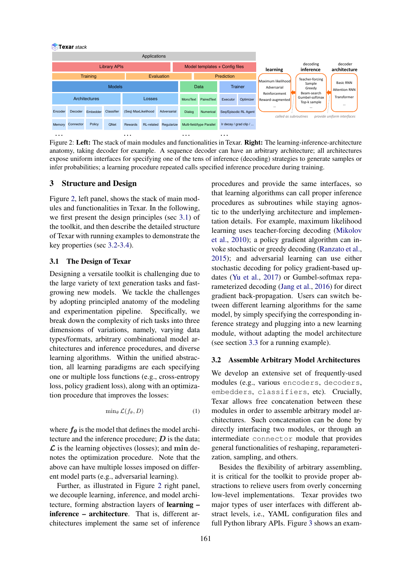<span id="page-2-0"></span>

Figure 2: Left: The stack of main modules and functionalities in Texar. Right: The learning-inference-architecture anatomy, taking decoder for example. A sequence decoder can have an arbitrary architecture; all architectures expose uniform interfaces for specifying one of the tens of inference (decoding) strategies to generate samples or infer probabilities; a learning procedure repeated calls specified inference procedure during training.

# 3 Structure and Design

Figure [2,](#page-2-0) left panel, shows the stack of main modules and functionalities in Texar. In the following, we first present the design principles (sec [3.1\)](#page-2-1) of the toolkit, and then describe the detailed structure of Texar with running examples to demonstrate the key properties (sec [3.2](#page-2-2)[-3.4\)](#page-3-1).

# <span id="page-2-1"></span>3.1 The Design of Texar

Designing a versatile toolkit is challenging due to the large variety of text generation tasks and fastgrowing new models. We tackle the challenges by adopting principled anatomy of the modeling and experimentation pipeline. Specifically, we break down the complexity of rich tasks into three dimensions of variations, namely, varying data types/formats, arbitrary combinational model architectures and inference procedures, and diverse learning algorithms. Within the unified abstraction, all learning paradigms are each specifying one or multiple loss functions (e.g., cross-entropy loss, policy gradient loss), along with an optimization procedure that improves the losses:

$$
\min_{\theta} \mathcal{L}(f_{\theta}, D) \tag{1}
$$

where  $f_{\theta}$  is the model that defines the model architecture and the inference procedure;  $D$  is the data;  $\mathcal L$  is the learning objectives (losses); and min denotes the optimization procedure. Note that the above can have multiple losses imposed on different model parts (e.g., adversarial learning).

Further, as illustrated in Figure [2](#page-2-0) right panel, we decouple learning, inference, and model architecture, forming abstraction layers of learning – inference – architecture. That is, different architectures implement the same set of inference

procedures and provide the same interfaces, so that learning algorithms can call proper inference procedures as subroutines while staying agnostic to the underlying architecture and implementation details. For example, maximum likelihood learning uses teacher-forcing decoding [\(Mikolov](#page-5-25) [et al.,](#page-5-25) [2010\)](#page-5-25); a policy gradient algorithm can invoke stochastic or greedy decoding [\(Ranzato et al.,](#page-5-12) [2015\)](#page-5-12); and adversarial learning can use either stochastic decoding for policy gradient-based updates [\(Yu et al.,](#page-5-18) [2017\)](#page-5-18) or Gumbel-softmax reparameterized decoding [\(Jang et al.,](#page-5-26) [2016\)](#page-5-26) for direct gradient back-propagation. Users can switch between different learning algorithms for the same model, by simply specifying the corresponding inference strategy and plugging into a new learning module, without adapting the model architecture (see section [3.3](#page-3-0) for a running example).

### <span id="page-2-2"></span>3.2 Assemble Arbitrary Model Architectures

We develop an extensive set of frequently-used modules (e.g., various encoders, decoders, embedders, classifiers, etc). Crucially, Texar allows free concatenation between these modules in order to assemble arbitrary model architectures. Such concatenation can be done by directly interfacing two modules, or through an intermediate connector module that provides general functionalities of reshaping, reparameterization, sampling, and others.

Besides the flexibility of arbitrary assembling, it is critical for the toolkit to provide proper abstractions to relieve users from overly concerning low-level implementations. Texar provides two major types of user interfaces with different abstract levels, i.e., YAML configuration files and full Python library APIs. Figure [3](#page-3-2) shows an exam-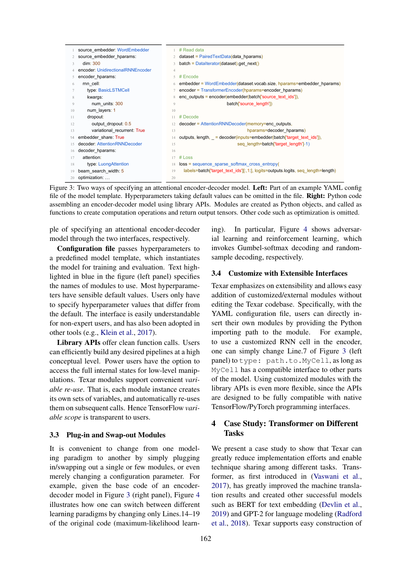<span id="page-3-2"></span>

| source embedder: WordEmbedder     |                | # Read data                                                                      |
|-----------------------------------|----------------|----------------------------------------------------------------------------------|
| source embedder hparams:          |                | dataset = PairedTextData(data hparams)                                           |
| dim: 300                          | $\mathcal{L}$  | $batch = Database().get next()$                                                  |
| encoder: UnidirectionalRNNEncoder | $\overline{4}$ |                                                                                  |
| encoder hparams:                  | $\sim$         | # Encode                                                                         |
| rnn cell:                         | 6              | embedder = WordEmbedder(dataset.vocab.size, hparams=embedder_hparams)            |
| type: BasicLSTMCell               |                | encoder = TransformerEncoder(hparams=encoder_hparams)                            |
| kwargs:                           | 8              | enc outputs = encoder(embedder(batch['source text ids']),                        |
| num units: 300                    | 9              | batch['source length'])                                                          |
| num layers: 1                     | 10             |                                                                                  |
| dropout:                          | 11             | $#$ Decode                                                                       |
| output dropout: 0.5               |                | decoder = AttentionRNNDecoder(memory=enc_outputs,                                |
| variational recurrent: True       | 13             | hparams=decoder hparams)                                                         |
| embedder share: True              | 14             | outputs, length, = decoder(inputs=embedder(batch['target text ids']),            |
| decoder: AttentionRNNDecoder      | 15             | seq length=batch['target length']-1)                                             |
| decoder hparams:                  | 16             |                                                                                  |
| attention:                        | 17             | $#$ Loss                                                                         |
| type: LuongAttention              | 18             | $loss = sequence sparse softmax cross entropy($                                  |
| beam search width: 5              | 19             | labels=batch['target text ids'][:,1:], logits=outputs.logits, seq length=length) |
| optimization:                     | 20             |                                                                                  |
|                                   |                |                                                                                  |

Figure 3: Two ways of specifying an attentional encoder-decoder model. Left: Part of an example YAML config file of the model template. Hyperparameters taking default values can be omitted in the file. Right: Python code assembling an encoder-decoder model using library APIs. Modules are created as Python objects, and called as functions to create computation operations and return output tensors. Other code such as optimization is omitted.

ple of specifying an attentional encoder-decoder model through the two interfaces, respectively.

Configuration file passes hyperparameters to a predefined model template, which instantiates the model for training and evaluation. Text highlighted in blue in the figure (left panel) specifies the names of modules to use. Most hyperparameters have sensible default values. Users only have to specify hyperparameter values that differ from the default. The interface is easily understandable for non-expert users, and has also been adopted in other tools (e.g., [Klein et al.,](#page-5-21) [2017\)](#page-5-21).

Library APIs offer clean function calls. Users can efficiently build any desired pipelines at a high conceptual level. Power users have the option to access the full internal states for low-level manipulations. Texar modules support convenient *variable re-use*. That is, each module instance creates its own sets of variables, and automatically re-uses them on subsequent calls. Hence TensorFlow *variable scope* is transparent to users.

#### <span id="page-3-0"></span>3.3 Plug-in and Swap-out Modules

It is convenient to change from one modeling paradigm to another by simply plugging in/swapping out a single or few modules, or even merely changing a configuration parameter. For example, given the base code of an encoderdecoder model in Figure [3](#page-3-2) (right panel), Figure [4](#page-4-5) illustrates how one can switch between different learning paradigms by changing only Lines.14–19 of the original code (maximum-likelihood learning). In particular, Figure [4](#page-4-5) shows adversarial learning and reinforcement learning, which invokes Gumbel-softmax decoding and randomsample decoding, respectively.

#### <span id="page-3-1"></span>3.4 Customize with Extensible Interfaces

Texar emphasizes on extensibility and allows easy addition of customized/external modules without editing the Texar codebase. Specifically, with the YAML configuration file, users can directly insert their own modules by providing the Python importing path to the module. For example, to use a customized RNN cell in the encoder, one can simply change Line.7 of Figure [3](#page-3-2) (left panel) to type: path.to.MyCell, as long as MyCell has a compatible interface to other parts of the model. Using customized modules with the library APIs is even more flexible, since the APIs are designed to be fully compatible with native TensorFlow/PyTorch programming interfaces.

# 4 Case Study: Transformer on Different **Tasks**

We present a case study to show that Texar can greatly reduce implementation efforts and enable technique sharing among different tasks. Transformer, as first introduced in [\(Vaswani et al.,](#page-5-9) [2017\)](#page-5-9), has greatly improved the machine translation results and created other successful models such as BERT for text embedding [\(Devlin et al.,](#page-4-6) [2019\)](#page-4-6) and GPT-2 for language modeling [\(Radford](#page-5-27) [et al.,](#page-5-27) [2018\)](#page-5-27). Texar supports easy construction of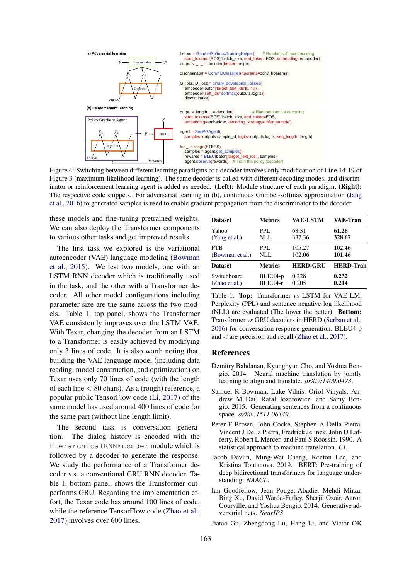<span id="page-4-5"></span>

Figure 4: Switching between different learning paradigms of a decoder involves only modification of Line.14-19 of Figure [3](#page-3-2) (maximum-likelihood learning). The same decoder is called with different decoding modes, and discriminator or reinforcement learning agent is added as needed. (Left): Module structure of each paradigm; (Right): The respective code snippets. For adversarial learning in (b), continuous Gumbel-softmax approximation [\(Jang](#page-5-26) [et al.,](#page-5-26) [2016\)](#page-5-26) to generated samples is used to enable gradient propagation from the discriminator to the decoder.

these models and fine-tuning pretrained weights. We can also deploy the Transformer components to various other tasks and get improved results.

The first task we explored is the variational autoencoder (VAE) language modeling [\(Bowman](#page-4-4) [et al.,](#page-4-4) [2015\)](#page-4-4). We test two models, one with an LSTM RNN decoder which is traditionally used in the task, and the other with a Transformer decoder. All other model configurations including parameter size are the same across the two models. Table [1,](#page-4-7) top panel, shows the Transformer VAE consistently improves over the LSTM VAE. With Texar, changing the decoder from an LSTM to a Transformer is easily achieved by modifying only 3 lines of code. It is also worth noting that, building the VAE language model (including data reading, model construction, and optimization) on Texar uses only 70 lines of code (with the length of each line  $< 80$  chars). As a (rough) reference, a popular public TensorFlow code [\(Li,](#page-5-28) [2017\)](#page-5-28) of the same model has used around 400 lines of code for the same part (without line length limit).

The second task is conversation generation. The dialog history is encoded with the HierarchicalRNNEncoder module which is followed by a decoder to generate the response. We study the performance of a Transformer decoder v.s. a conventional GRU RNN decoder. Table [1,](#page-4-7) bottom panel, shows the Transformer outperforms GRU. Regarding the implementation effort, the Texar code has around 100 lines of code, while the reference TensorFlow code [\(Zhao et al.,](#page-5-29) [2017\)](#page-5-29) involves over 600 lines.

<span id="page-4-7"></span>

| <b>Dataset</b>  | <b>Metrics</b> | <b>VAE-LSTM</b> | <b>VAE-Tran</b>  |
|-----------------|----------------|-----------------|------------------|
| Yahoo           | PPL.           | 68.31           | 61.26            |
| (Yang et al.)   | NLL            | 337.36          | 328.67           |
| <b>PTB</b>      | PPL.           | 105.27          | 102.46           |
| (Bowman et al.) | NLL            | 102.06          | 101.46           |
| <b>Dataset</b>  | <b>Metrics</b> | <b>HERD-GRU</b> | <b>HERD-Tran</b> |
| Switchboard     | BLEU4-p        | 0.228           | 0.232            |
| (Zhao et al.)   | BLEU4-r        | 0.205           | 0.214            |

Table 1: Top: Transformer *vs* LSTM for VAE LM. Perplexity (PPL) and sentence negative log likelihood (NLL) are evaluated (The lower the better). Bottom: Transformer *vs* GRU decoders in HERD [\(Serban et al.,](#page-5-1) [2016\)](#page-5-1) for conversation response generation. BLEU4-p and -r are precision and recall [\(Zhao et al.,](#page-5-29) [2017\)](#page-5-29).

# References

- <span id="page-4-1"></span>Dzmitry Bahdanau, Kyunghyun Cho, and Yoshua Bengio. 2014. Neural machine translation by jointly learning to align and translate. *arXiv:1409.0473*.
- <span id="page-4-4"></span>Samuel R Bowman, Luke Vilnis, Oriol Vinyals, Andrew M Dai, Rafal Jozefowicz, and Samy Bengio. 2015. Generating sentences from a continuous space. *arXiv:1511.06349*.
- <span id="page-4-0"></span>Peter F Brown, John Cocke, Stephen A Della Pietra, Vincent J Della Pietra, Fredrick Jelinek, John D Lafferty, Robert L Mercer, and Paul S Roossin. 1990. A statistical approach to machine translation. *CL*.
- <span id="page-4-6"></span>Jacob Devlin, Ming-Wei Chang, Kenton Lee, and Kristina Toutanova. 2019. BERT: Pre-training of deep bidirectional transformers for language understanding. *NAACL*.
- <span id="page-4-2"></span>Ian Goodfellow, Jean Pouget-Abadie, Mehdi Mirza, Bing Xu, David Warde-Farley, Sherjil Ozair, Aaron Courville, and Yoshua Bengio. 2014. Generative adversarial nets. *NeurIPS*.

<span id="page-4-3"></span>Jiatao Gu, Zhengdong Lu, Hang Li, and Victor OK